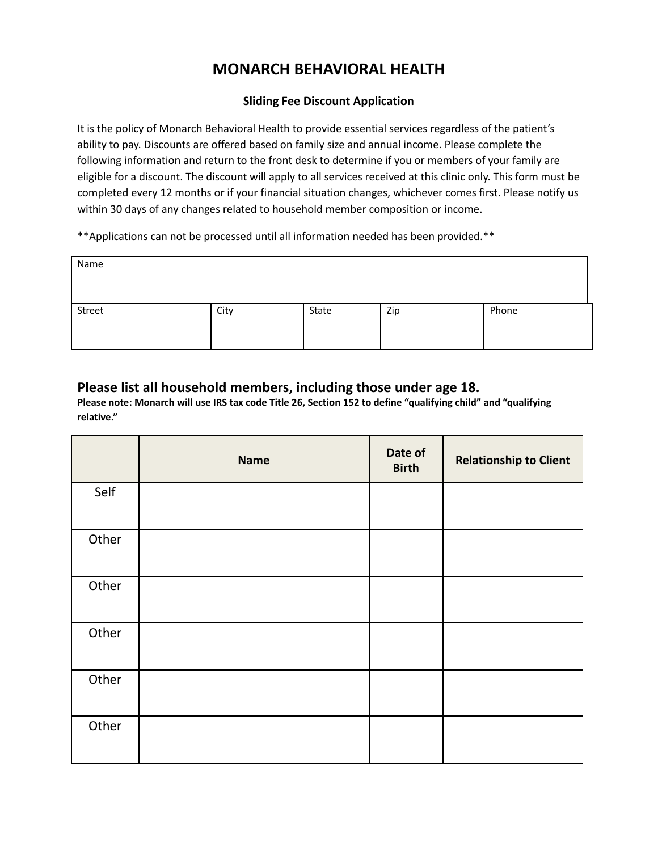## **MONARCH BEHAVIORAL HEALTH**

## **Sliding Fee Discount Application**

It is the policy of Monarch Behavioral Health to provide essential services regardless of the patient's ability to pay. Discounts are offered based on family size and annual income. Please complete the following information and return to the front desk to determine if you or members of your family are eligible for a discount. The discount will apply to all services received at this clinic only. This form must be completed every 12 months or if your financial situation changes, whichever comes first. Please notify us within 30 days of any changes related to household member composition or income.

\*\*Applications can not be processed until all information needed has been provided.\*\*

| Name   |      |       |     |       |
|--------|------|-------|-----|-------|
| Street | City | State | Zip | Phone |

## **Please list all household members, including those under age 18.**

Please note: Monarch will use IRS tax code Title 26, Section 152 to define "qualifying child" and "qualifying **relative."**

|       | <b>Name</b> | Date of<br><b>Birth</b> | <b>Relationship to Client</b> |
|-------|-------------|-------------------------|-------------------------------|
| Self  |             |                         |                               |
| Other |             |                         |                               |
| Other |             |                         |                               |
| Other |             |                         |                               |
| Other |             |                         |                               |
| Other |             |                         |                               |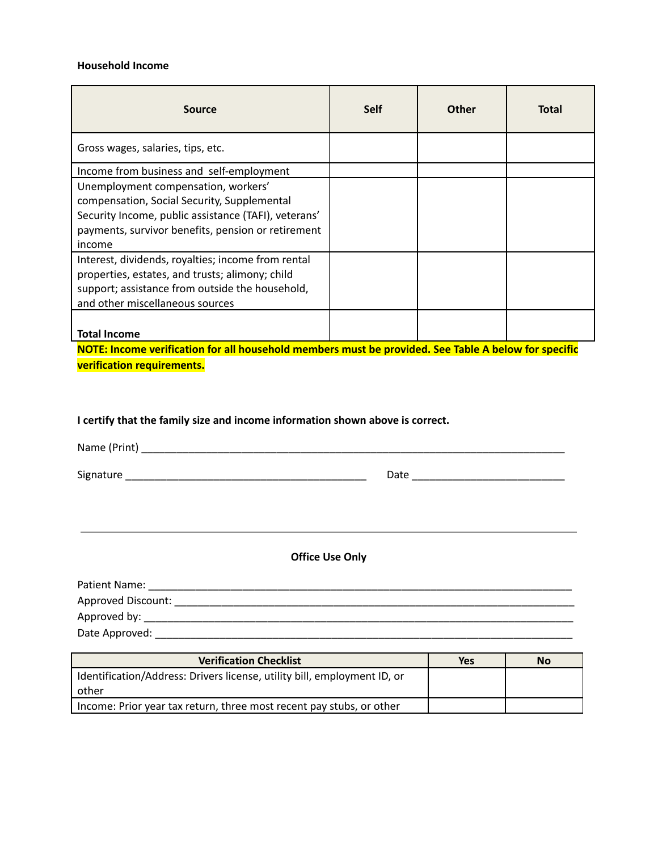## **Household Income**

| Source                                                                                                                                                                                                     | <b>Self</b> | Other | Total |
|------------------------------------------------------------------------------------------------------------------------------------------------------------------------------------------------------------|-------------|-------|-------|
| Gross wages, salaries, tips, etc.                                                                                                                                                                          |             |       |       |
| Income from business and self-employment                                                                                                                                                                   |             |       |       |
| Unemployment compensation, workers'<br>compensation, Social Security, Supplemental<br>Security Income, public assistance (TAFI), veterans'<br>payments, survivor benefits, pension or retirement<br>income |             |       |       |
| Interest, dividends, royalties; income from rental<br>properties, estates, and trusts; alimony; child<br>support; assistance from outside the household,<br>and other miscellaneous sources                |             |       |       |
| <b>Total Income</b>                                                                                                                                                                                        |             |       |       |

**NOTE: Income verification for all household members must be provided. See Table A below for specific verification requirements.**

**I certify that the family size and income information shown above is correct.**

Name (Print) \_\_\_\_\_\_\_\_\_\_\_\_\_\_\_\_\_\_\_\_\_\_\_\_\_\_\_\_\_\_\_\_\_\_\_\_\_\_\_\_\_\_\_\_\_\_\_\_\_\_\_\_\_\_\_\_\_\_\_\_\_\_\_\_\_\_\_\_\_\_\_\_

Signature \_\_\_\_\_\_\_\_\_\_\_\_\_\_\_\_\_\_\_\_\_\_\_\_\_\_\_\_\_\_\_\_\_\_\_\_\_\_\_\_\_ Date \_\_\_\_\_\_\_\_\_\_\_\_\_\_\_\_\_\_\_\_\_\_\_\_\_\_

**Office Use Only**

| Patient Name:      |  |
|--------------------|--|
| Approved Discount: |  |
| Approved by:       |  |
| Date Approved:     |  |

| <b>Verification Checklist</b>                                            | Yes | <b>No</b> |
|--------------------------------------------------------------------------|-----|-----------|
| Identification/Address: Drivers license, utility bill, employment ID, or |     |           |
| other                                                                    |     |           |
| Income: Prior year tax return, three most recent pay stubs, or other     |     |           |